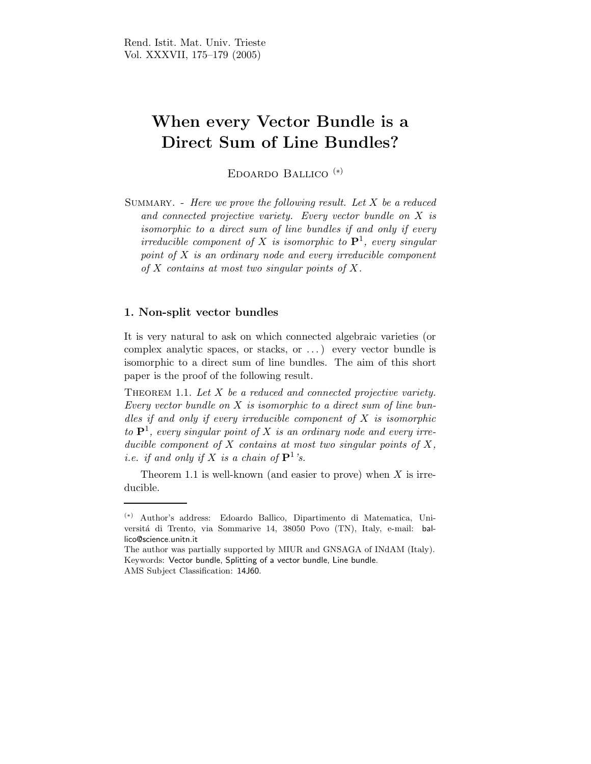## When every Vector Bundle is a Direct Sum of Line Bundles?

Edoardo Ballico (∗)

SUMMARY. - Here we prove the following result. Let  $X$  be a reduced and connected projective variety. Every vector bundle on X is isomorphic to a direct sum of line bundles if and only if every irreducible component of X is isomorphic to  $\mathbf{P}^1$ , every singular point of  $X$  is an ordinary node and every irreducible component of  $X$  contains at most two singular points of  $X$ .

## 1. Non-split vector bundles

It is very natural to ask on which connected algebraic varieties (or complex analytic spaces, or stacks, or . . . ) every vector bundle is isomorphic to a direct sum of line bundles. The aim of this short paper is the proof of the following result.

THEOREM 1.1. Let  $X$  be a reduced and connected projective variety. Every vector bundle on  $X$  is isomorphic to a direct sum of line bundles if and only if every irreducible component of  $X$  is isomorphic to  $\mathbf{P}^1$ , every singular point of X is an ordinary node and every irreducible component of  $X$  contains at most two singular points of  $X$ , *i.e.* if and only if X is a chain of  $\mathbf{P}^1$ 's.

Theorem 1.1 is well-known (and easier to prove) when  $X$  is irreducible.

<sup>(</sup>∗) Author's address: Edoardo Ballico, Dipartimento di Matematica, Universitá di Trento, via Sommarive 14, 38050 Povo (TN), Italy, e-mail: ballico@science.unitn.it

The author was partially supported by MIUR and GNSAGA of INdAM (Italy). Keywords: Vector bundle, Splitting of a vector bundle, Line bundle. AMS Subject Classification: 14J60.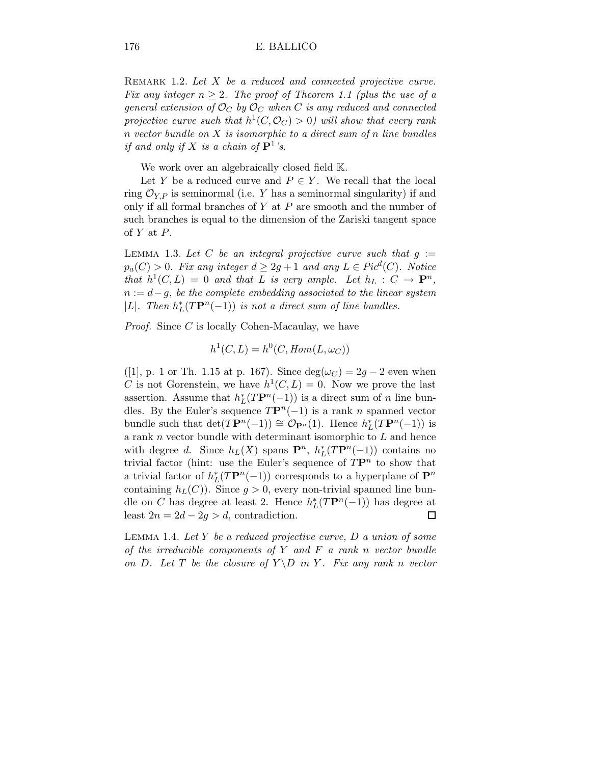REMARK 1.2. Let X be a reduced and connected projective curve. Fix any integer  $n \geq 2$ . The proof of Theorem 1.1 (plus the use of a general extension of  $\mathcal{O}_C$  by  $\mathcal{O}_C$  when C is any reduced and connected projective curve such that  $h^1(C, \mathcal{O}_C) > 0$ ) will show that every rank  $n$  vector bundle on  $X$  is isomorphic to a direct sum of n line bundles if and only if X is a chain of  $\mathbf{P}^1$ 's.

We work over an algebraically closed field  $\mathbb{K}$ .

Let Y be a reduced curve and  $P \in Y$ . We recall that the local ring  $\mathcal{O}_{Y,P}$  is seminormal (i.e. Y has a seminormal singularity) if and only if all formal branches of  $Y$  at  $P$  are smooth and the number of such branches is equal to the dimension of the Zariski tangent space of  $Y$  at  $P$ .

LEMMA 1.3. Let C be an integral projective curve such that  $g :=$  $p_a(C) > 0$ . Fix any integer  $d \geq 2g + 1$  and any  $L \in Pic^d(C)$ . Notice that  $h^1(C, L) = 0$  and that L is very ample. Let  $h_L : C \to \mathbf{P}^n$ ,  $n := d - g$ , be the complete embedding associated to the linear system |L|. Then  $h_L^*(T\mathbf{P}^n(-1))$  is not a direct sum of line bundles.

Proof. Since C is locally Cohen-Macaulay, we have

$$
h^1(C, L) = h^0(C, Hom(L, \omega_C))
$$

([1], p. 1 or Th. 1.15 at p. 167). Since  $deg(\omega_C) = 2g - 2$  even when C is not Gorenstein, we have  $h^1(C, L) = 0$ . Now we prove the last assertion. Assume that  $h_L^*(T\mathbf{P}^n(-1))$  is a direct sum of n line bundles. By the Euler's sequence  $TP^n(-1)$  is a rank n spanned vector bundle such that  $\det(T\mathbf{P}^n(-1)) \cong \mathcal{O}_{\mathbf{P}^n}(1)$ . Hence  $h_L^*(T\mathbf{P}^n(-1))$  is a rank  $n$  vector bundle with determinant isomorphic to  $L$  and hence with degree d. Since  $h_L(X)$  spans  $\mathbf{P}^n$ ,  $h_L^*(T\mathbf{P}^n(-1))$  contains no trivial factor (hint: use the Euler's sequence of  $T\mathbf{P}^n$  to show that a trivial factor of  $h_L^*(T\mathbf{P}^n(-1))$  corresponds to a hyperplane of  $\mathbf{P}^n$ containing  $h<sub>L</sub>(C)$ ). Since  $g > 0$ , every non-trivial spanned line bundle on C has degree at least 2. Hence  $h_L^*(T\mathbf{P}^n(-1))$  has degree at least  $2n = 2d - 2g > d$ , contradiction. □

LEMMA 1.4. Let Y be a reduced projective curve,  $D$  a union of some of the irreducible components of  $Y$  and  $F$  a rank n vector bundle on D. Let T be the closure of  $Y \ D$  in Y. Fix any rank n vector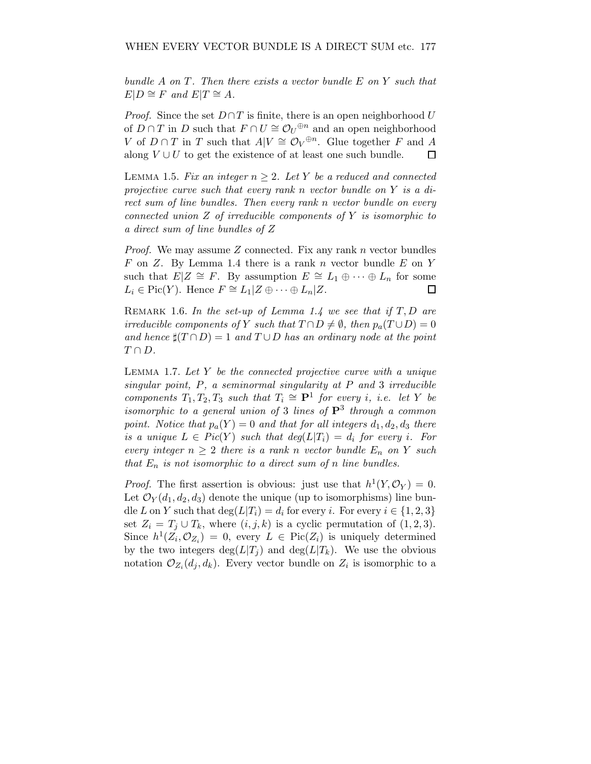bundle A on T. Then there exists a vector bundle E on Y such that  $E|D \cong F$  and  $E|T \cong A$ .

*Proof.* Since the set  $D \cap T$  is finite, there is an open neighborhood U of  $D \cap T$  in D such that  $F \cap U \cong \mathcal{O}_U^{\oplus n}$  and an open neighborhood V of  $D \cap T$  in T such that  $A|V \cong \mathcal{O}_V^{\oplus n}$ . Glue together F and A along  $V \cup U$  to get the existence of at least one such bundle.

LEMMA 1.5. Fix an integer  $n \geq 2$ . Let Y be a reduced and connected projective curve such that every rank n vector bundle on Y is a direct sum of line bundles. Then every rank n vector bundle on every connected union Z of irreducible components of Y is isomorphic to a direct sum of line bundles of Z

*Proof.* We may assume  $Z$  connected. Fix any rank  $n$  vector bundles F on Z. By Lemma 1.4 there is a rank n vector bundle E on Y such that  $E|Z \cong F$ . By assumption  $E \cong L_1 \oplus \cdots \oplus L_n$  for some  $L_i \in Pic(Y)$ . Hence  $F \cong L_1 | Z \oplus \cdots \oplus L_n | Z$ .  $\Box$ 

REMARK 1.6. In the set-up of Lemma 1.4 we see that if  $T, D$  are irreducible components of Y such that  $T \cap D \neq \emptyset$ , then  $p_a(T \cup D) = 0$ and hence  $\sharp(T \cap D) = 1$  and  $T \cup D$  has an ordinary node at the point  $T \cap D$ .

LEMMA 1.7. Let  $Y$  be the connected projective curve with a unique singular point,  $P$ , a seminormal singularity at  $P$  and  $3$  irreducible components  $T_1, T_2, T_3$  such that  $T_i \cong \mathbf{P}^1$  for every i, i.e. let Y be isomorphic to a general union of 3 lines of  $\mathbf{P}^3$  through a common point. Notice that  $p_a(Y) = 0$  and that for all integers  $d_1, d_2, d_3$  there is a unique  $L \in Pic(Y)$  such that  $deg(L|T_i) = d_i$  for every i. For every integer  $n \geq 2$  there is a rank n vector bundle  $E_n$  on Y such that  $E_n$  is not isomorphic to a direct sum of n line bundles.

*Proof.* The first assertion is obvious: just use that  $h^1(Y, \mathcal{O}_Y) = 0$ . Let  $\mathcal{O}_Y(d_1,d_2,d_3)$  denote the unique (up to isomorphisms) line bundle L on Y such that  $\deg(L|T_i) = d_i$  for every i. For every  $i \in \{1, 2, 3\}$ set  $Z_i = T_j \cup T_k$ , where  $(i, j, k)$  is a cyclic permutation of  $(1, 2, 3)$ . Since  $h^1(Z_i, \mathcal{O}_{Z_i}) = 0$ , every  $L \in Pic(Z_i)$  is uniquely determined by the two integers  $deg(L|T_i)$  and  $deg(L|T_k)$ . We use the obvious notation  $\mathcal{O}_{Z_i}(d_j, d_k)$ . Every vector bundle on  $Z_i$  is isomorphic to a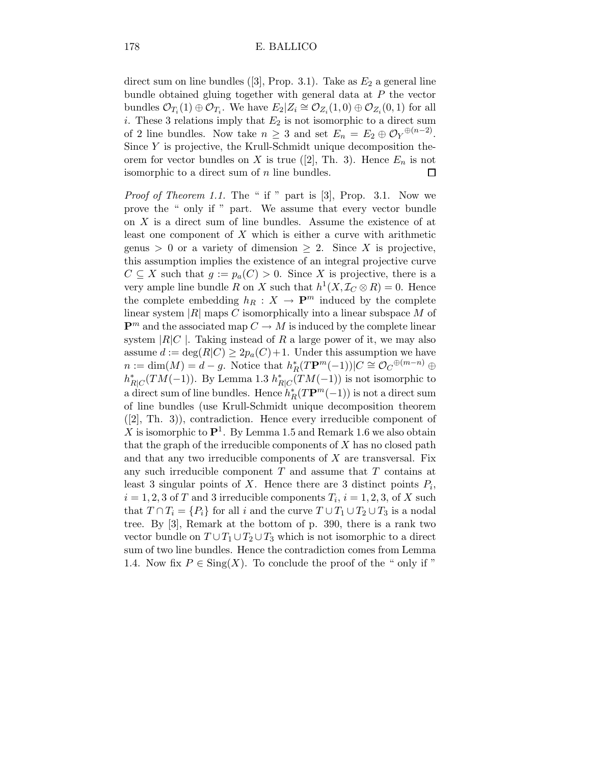direct sum on line bundles ([3], Prop. 3.1). Take as  $E_2$  a general line bundle obtained gluing together with general data at P the vector bundles  $\mathcal{O}_{T_i}(1) \oplus \mathcal{O}_{T_i}$ . We have  $E_2 | Z_i \cong \mathcal{O}_{Z_i}(1,0) \oplus \mathcal{O}_{Z_i}(0,1)$  for all i. These 3 relations imply that  $E_2$  is not isomorphic to a direct sum of 2 line bundles. Now take  $n \geq 3$  and set  $E_n = E_2 \oplus \mathcal{O}_Y^{(n-2)}$ . Since Y is projective, the Krull-Schmidt unique decomposition theorem for vector bundles on X is true ([2], Th. 3). Hence  $E_n$  is not isomorphic to a direct sum of  $n$  line bundles.

*Proof of Theorem 1.1.* The " if " part is  $[3]$ , Prop. 3.1. Now we prove the " only if " part. We assume that every vector bundle on X is a direct sum of line bundles. Assume the existence of at least one component of X which is either a curve with arithmetic genus > 0 or a variety of dimension  $\geq 2$ . Since X is projective, this assumption implies the existence of an integral projective curve  $C \subseteq X$  such that  $g := p_a(C) > 0$ . Since X is projective, there is a very ample line bundle R on X such that  $h^1(X, \mathcal{I}_C \otimes R) = 0$ . Hence the complete embedding  $h_R : X \to \mathbf{P}^m$  induced by the complete linear system  $|R|$  maps C isomorphically into a linear subspace M of  $\mathbf{P}^m$  and the associated map  $C \to M$  is induced by the complete linear system  $|R|C|$ . Taking instead of R a large power of it, we may also assume  $d := \deg(R|C) \geq 2p_a(C)+1$ . Under this assumption we have  $n := \dim(M) = d - g$ . Notice that  $h_R^*(T\mathbf{P}^m(-1))|C \cong \mathcal{O}_C^{\oplus (m-n)} \oplus$  $h_{R|C}^*(TM(-1))$ . By Lemma 1.3  $h_{R|C}^*(TM(-1))$  is not isomorphic to a direct sum of line bundles. Hence  $h^*_R(T\mathbf{P}^m(-1))$  is not a direct sum of line bundles (use Krull-Schmidt unique decomposition theorem ([2], Th. 3)), contradiction. Hence every irreducible component of X is isomorphic to  $\mathbf{P}^1$ . By Lemma 1.5 and Remark 1.6 we also obtain that the graph of the irreducible components of  $X$  has no closed path and that any two irreducible components of  $X$  are transversal. Fix any such irreducible component  $T$  and assume that  $T$  contains at least 3 singular points of X. Hence there are 3 distinct points  $P_i$ ,  $i = 1, 2, 3$  of T and 3 irreducible components  $T_i$ ,  $i = 1, 2, 3$ , of X such that  $T \cap T_i = \{P_i\}$  for all i and the curve  $T \cup T_1 \cup T_2 \cup T_3$  is a nodal tree. By [3], Remark at the bottom of p. 390, there is a rank two vector bundle on  $T \cup T_1 \cup T_2 \cup T_3$  which is not isomorphic to a direct sum of two line bundles. Hence the contradiction comes from Lemma 1.4. Now fix  $P \in \text{Sing}(X)$ . To conclude the proof of the " only if "